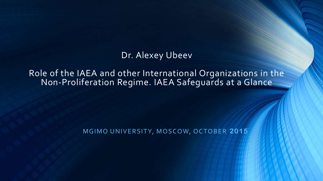#### Dr. Alexey Ubeev

Role of the IAEA and other International Organizations in the Non-Proliferation Regime. IAEA Safeguards at a Glance

MGIMO UNIVERSITY, MOSCOW, OCTOBER 2015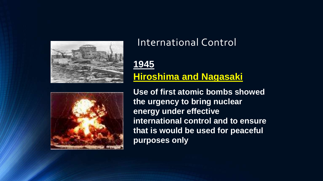



#### International Control

#### **1945 Hiroshima and Nagasaki**

**Use of first atomic bombs showed the urgency to bring nuclear energy under effective international control and to ensure that is would be used for peaceful purposes only**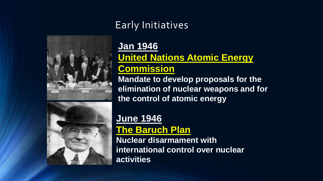

## Early Initiatives

# **Jan 1946**

#### **United Nations Atomic Energy**

## **Commission**

**Mandate to develop proposals for the elimination of nuclear weapons and for the control of atomic energy**



#### **June 1946 The Baruch Plan**

**Nuclear disarmament with international control over nuclear activities**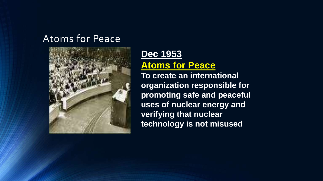#### Atoms for Peace



#### **Dec 1953 Atoms for Peace**

**To create an international organization responsible for promoting safe and peaceful uses of nuclear energy and verifying that nuclear technology is not misused**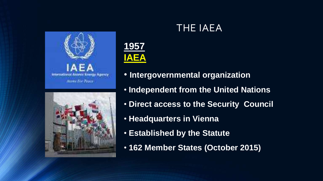





- **Intergovernmental organization**
- **Independent from the United Nations**
- **Direct access to the Security Council**
- **Headquarters in Vienna**
- **Established by the Statute**
- **162 Member States (October 2015)**

## THE IAEA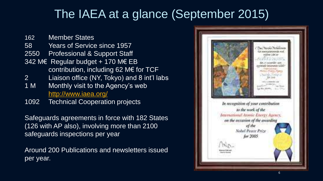# The IAEA at a glance (September 2015)

162 Member States 58 Years of Service since 1957 2550 Professional & Support Staff 342 M€ Regular budget + 170 M€ EB contribution, including 62 M€ for TCF 2 Liaison office (NY, Tokyo) and 8 int'l labs 1 M Monthly visit to the Agency's web

- <http://www.iaea.org/>
- 1092 Technical Cooperation projects

Safeguards agreements in force with 182 States (126 with AP also), involving more than 2100 safeguards inspections per year

Around 200 Publications and newsletters issued per year.

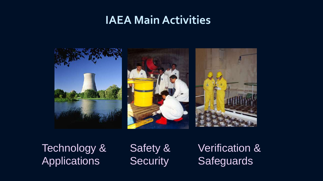## **IAEA Main Activities**



Technology & **Applications** 

Safety & **Security** 

Verification & **Safeguards**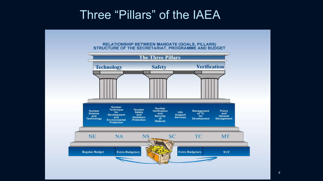## Three "Pillars" of the IAEA

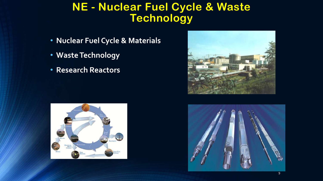## **NE - Nuclear Fuel Cycle & Waste Technology**

- **Nuclear Fuel Cycle & Materials**
- **Waste Technology**
- **Research Reactors**





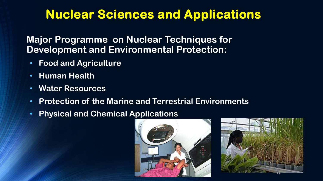# **Nuclear Sciences and Applications**

**Major Programme on Nuclear Techniques for Development and Environmental Protection:**

- **Food and Agriculture**
- **Human Health**
- **Water Resources**
- **Protection of the Marine and Terrestrial Environments**
- **Physical and Chemical Applications**



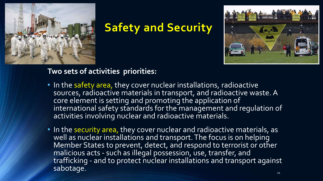

## **Safety and Security**



#### **Two sets of activities priorities:**

- In the safety area, they cover nuclear installations, radioactive sources, radioactive materials in transport, and radioactive waste. A core element is setting and promoting the application of international safety standards for the management and regulation of activities involving nuclear and radioactive materials.
- In the security area, they cover nuclear and radioactive materials, as well as nuclear installations and transport. The focus is on helping Member States to prevent, detect, and respond to terrorist or other malicious acts - such as illegal possession, use, transfer, and trafficking - and to protect nuclear installations and transport against sabotage.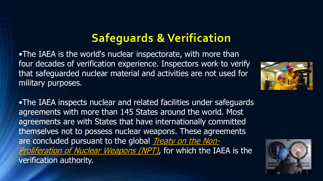# **Safeguards & Verification**

•The IAEA is the world's nuclear inspectorate, with more than four decades of verification experience. Inspectors work to verify that safeguarded nuclear material and activities are not used for military purposes.

•The IAEA inspects nuclear and related facilities under safeguards agreements with more than 145 States around the world. Most agreements are with States that have internationally committed themselves not to possess nuclear weapons. These agreements are concluded pursuant to the global *Treaty on the Non-*[Proliferation](http://www.iaea.org/Publications/Documents/Treaties/npt.html) of Nuclear Weapons (NPT), for which the IAEA is the verification authority.



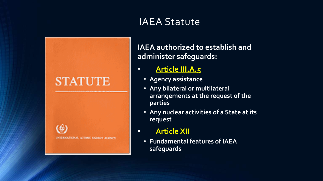## IAEA Statute



**IAEA authorized to establish and administer safeguards:**

#### • **Article III.A.5**

- **Agency assistance**
- **Any bilateral or multilateral arrangements at the request of the parties**
- **Any nuclear activities of a State at its request**
- **Article XII**
	- **Fundamental features of IAEA safeguards**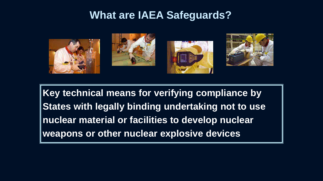#### **What are IAEA Safeguards?**



**Key technical means for verifying compliance by States with legally binding undertaking not to use nuclear material or facilities to develop nuclear weapons or other nuclear explosive devices**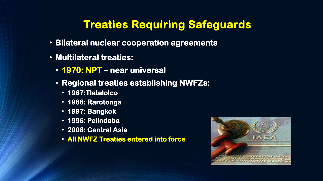## **Treaties Requiring Safeguards**

- **Bilateral nuclear cooperation agreements**
- **Multilateral treaties:**
	- **1970: NPT – near universal**
	- **Regional treaties establishing NWFZs:**
		- **1967:Tlatelolco**
		- **1986: Rarotonga**
		- **1997: Bangkok**
		- **1996: Pelindaba**
		- **2008: Central Asia**
		- **All NWFZ Treaties entered into force**

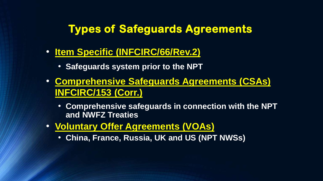## **Types of Safeguards Agreements**

- **Item Specific (INFCIRC/66/Rev.2)**
	- **Safeguards system prior to the NPT**
- **Comprehensive Safeguards Agreements (CSAs) INFCIRC/153 (Corr.)**
	- **Comprehensive safeguards in connection with the NPT and NWFZ Treaties**
- **Voluntary Offer Agreements (VOAs)**
	- **China, France, Russia, UK and US (NPT NWSs)**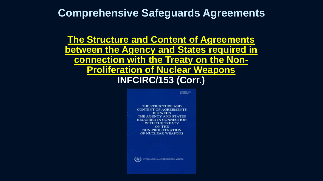#### **Comprehensive Safeguards Agreements**

**The Structure and Content of Agreements between the Agency and States required in connection with the Treaty on the Non-Proliferation of Nuclear Weapons INFCIRC/153 (Corr.)**

> **INFORMATES** (Converted) THE STRUCTURE AND **CONTENT OF AGREEMENTS BETWEEN** THE AGENCY AND STATES **REQUIRED IN CONNECTION WITH THE TREATY ON THE NON-PROLIFERATION** OF NUCLEAR WEAPONS  $(\Leftrightarrow)$ INTERNATIONAL ATOMIC ENERGY AGENCY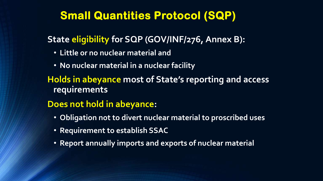## **Small Quantities Protocol (SQP)**

#### **State eligibility for SQP (GOV/INF/276, Annex B):**

- **Little or no nuclear material and**
- **No nuclear material in a nuclear facility**
- **Holds in abeyance most of State's reporting and access requirements**

#### **Does not hold in abeyance:**

- **Obligation not to divert nuclear material to proscribed uses**
- **Requirement to establish SSAC**
- **Report annually imports and exports of nuclear material**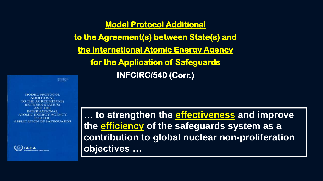**Model Protocol Additional to the Agreement(s) between State(s) and the International Atomic Energy Agency for the Application of Safeguards INFCIRC/540 (Corr.)**

поставляет (Converted)

**MODEL PROTOCOL ADDITIONAL** TO THE AGREEMENT(S) **BETWEEN STATE(S) AND THE INTERNATIONAL ATOMIC ENERGY AGENCY FOR THE APPLICATION OF SAFEGUARDS** 

 $③$ IAEA

**… to strengthen the effectiveness and improve the efficiency of the safeguards system as a contribution to global nuclear non-proliferation objectives …**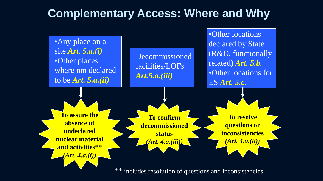## **Complementary Access: Where and Why**



includes resolution of questions and inconsistencies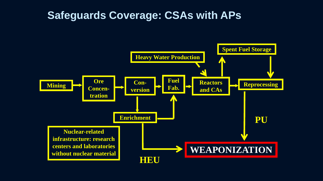#### **Safeguards Coverage: CSAs with APs**

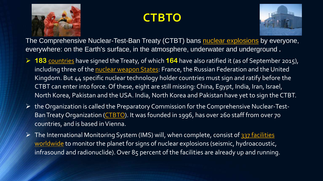

# **CTBTO**



The Comprehensive Nuclear-Test-Ban Treaty (CTBT) bans nuclear [explosions](http://www.ctbto.org/index.php?id=280&no_cache=1&letter=n#nuclear-explosions) by everyone, everywhere: on the Earth's surface, in the atmosphere, underwater and underground **.**

- **183** [countries](http://www.ctbto.org/the-treaty/status-of-signature-and-ratification/) have signed theTreaty, of which **164** have also ratified it (as of September 2015), including three of the nuclear [weapon](http://www.ctbto.org/index.php?id=280&no_cache=1&letter=n#nuclear-weapon-states) States: France, the Russian Federation and the United Kingdom. But 44 specific nuclear technology holder countries must sign and ratify before the CTBT can enter into force. Of these, eight are still missing: China, Egypt, India, Iran, Israel, North Korea, Pakistan and the USA. India, North Korea and Pakistan have yet to sign the CTBT.
- $\triangleright$  the Organization is called the Preparatory Commission for the Comprehensive Nuclear-Test-Ban Treaty Organization [\(CTBTO\)](http://www.ctbto.org/the-organization/). It was founded in 1996, has over 260 staff from over 70 countries, and is based inVienna.
- $\triangleright$  The International Monitoring System (IMS) will, when complete, consist of 337 facilities worldwide to monitor the planet for signs of nuclear explosions [\(seismic, hydroacoustic](http://www.ctbto.org/map/#ims), infrasound and radionuclide). Over 85 percent of the facilities are already up and running.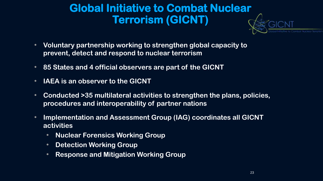## **Global Initiative to Combat Nuclear Terrorism (GICNT)**

- **Voluntary partnership working to strengthen global capacity to prevent, detect and respond to nuclear terrorism**
- **85 States and 4 official observers are part of the GICNT**
- **IAEA is an observer to the GICNT**
- **Conducted >35 multilateral activities to strengthen the plans, policies, procedures and interoperability of partner nations**
- **Implementation and Assessment Group (IAG) coordinates all GICNT activities**
	- **Nuclear Forensics Working Group**
	- **Detection Working Group**
	- **Response and Mitigation Working Group**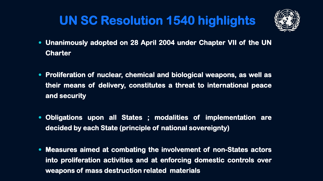# **UN SC Resolution 1540 highlights**



- **Unanimously adopted on 28 April 2004 under Chapter VII of the UN Charter**
- **Proliferation of nuclear, chemical and biological weapons, as well as their means of delivery, constitutes a threat to international peace and security**
- **Obligations upon all States ; modalities of implementation are decided by each State (principle of national sovereignty)**
- **Measures aimed at combating the involvement of non-States actors into proliferation activities and at enforcing domestic controls over weapons of mass destruction related materials**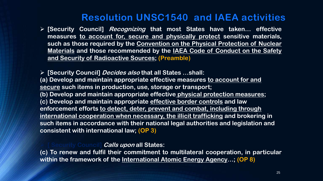#### **Resolution UNSC1540 and IAEA activities**

 **[Security Council] Recognizing that most States have taken… effective measures to account for, secure and physically protect sensitive materials, such as those required by the Convention on the Physical Protection of Nuclear Materials and those recommended by the IAEA Code of Conduct on the Safety and Security of Radioactive Sources; (Preamble)**

 **[Security Council] Decides also that all States …shall: (a) Develop and maintain appropriate effective measures to account for and secure such items in production, use, storage or transport; (b) Develop and maintain appropriate effective physical protection measures; (c) Develop and maintain appropriate effective border controls and law enforcement efforts to detect, deter, prevent and combat, including through international cooperation when necessary, the illicit trafficking and brokering in such items in accordance with their national legal authorities and legislation and consistent with international law; (OP 3)**

#### **[ Security Council] Calls upon all States:**

**(c) To renew and fulfil their commitment to multilateral cooperation, in particular within the framework of the International Atomic Energy Agency…; (OP 8)**